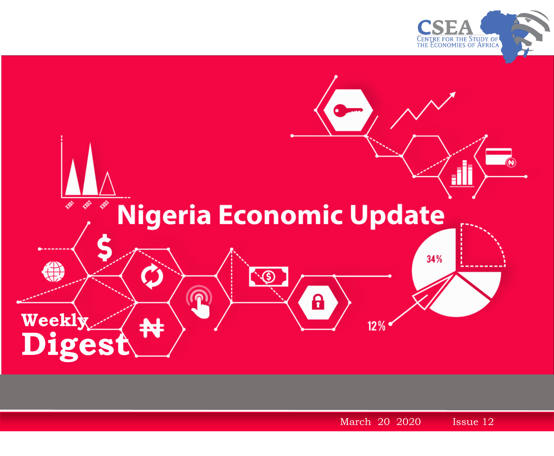



March 20 2020 1 2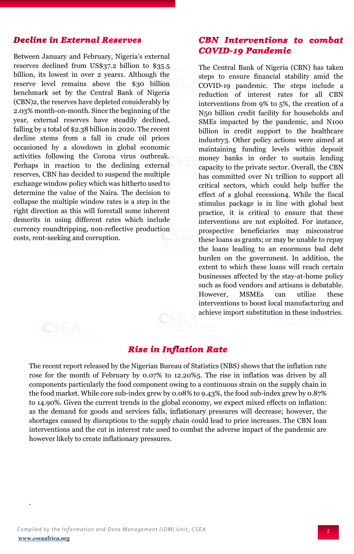## **Decline in External Reserves**

Between January and February, Nigeria's external reserves declined from US\$37.2 billion to \$35.5 billion, its lowest in over 2 years1. Although the reserve level remains above the \$30 billion benchmark set by the Central Bank of Nigeria (CBN)2, the reserves have depleted considerably by 2.03% month-on-month. Since the beginning of the year, external reserves have steadily declined, falling by a total of \$2.38 billion in 2020. The recent decline stems from a fall in crude oil prices occasioned by a slowdown in global economic activities following the Corona virus outbreak. Perhaps in reaction to the declining external reserves, CBN has decided to suspend the multiple exchange window policy which was hitherto used to determine the value of the Naira. The decision to collapse the multiple window rates is a step in the right direction as this will forestall some inherent demerits in using different rates which include currency roundtripping, non-reflective production costs, rent-seeking and corruption.

.

## **CBN** Interventions to combat **COVID-19 Pandemic**

The Central Bank of Nigeria (CBN) has taken steps to ensure financial stability amid the COVID-19 pandemic. The steps include a reduction of interest rates for all CBN interventions from 9% to 5%, the creation of a N50 billion credit facility for households and SMEs impacted by the pandemic, and N100 billion in credit support to the healthcare industry3. Other policy actions were aimed at maintaining funding levels within deposit money banks in order to sustain lending capacity to the private sector. Overall, the CBN has committed over N1 trillion to support all critical sectors, which could help buffer the effect of a global recession4. While the fiscal stimulus package is in line with global best practice, it is critical to ensure that these interventions are not exploited. For instance, prospective beneficiaries may misconstrue these loans as grants; or may be unable to repay the loans leading to an enormous bad debt burden on the government. In addition, the extent to which these loans will reach certain businesses affected by the stay-at-home policy such as food vendors and artisans is debatable. However, MSMEs can utilize these interventions to boost local manufacturing and achieve import substitution in these industries.

## **Rise in Inflation Rate**

The recent report released by the Nigerian Bureau of Statistics (NBS) shows that the inflation rate rose for the month of February by 0.07% to 12.20%5. The rise in inflation was driven by all components particularly the food component owing to a continuous strain on the supply chain in the food market. While core sub-index grew by 0.08% to 9.43%, the food sub-index grew by 0.87% to 14.90%. Given the current trends in the global economy, we expect mixed effects on inflation: as the demand for goods and services falls, inflationary pressures will decrease; however, the shortages caused by disruptions to the supply chain could lead to price increases. The CBN loan interventions and the cut in interest rate used to combat the adverse impact of the pandemic are however likely to create inflationary pressures.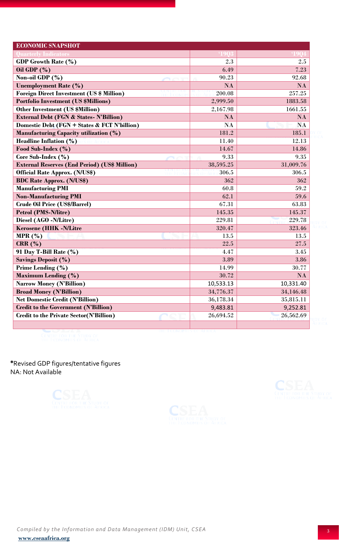| <b>ECONOMIC SNAPSHOT</b>                             |                 |               |
|------------------------------------------------------|-----------------|---------------|
| <b>Quarterly Indicators</b>                          |                 |               |
| <b>GDP Growth Rate (%)</b>                           | 2.3             | 2.5           |
| Oil GDP $(\% )$                                      | 6.49            | 7.23          |
| Non-oil GDP (%)                                      | 90.23           | 92.68         |
| <b>Unemployment Rate (%)</b>                         | $\overline{NA}$ | $\mathbf{NA}$ |
| <b>Foreign Direct Investment (US \$ Million)</b>     | 200.08          | 257.25        |
| <b>Portfolio Investment (US \$Millions)</b>          | 2,999.50        | 1883.58       |
| Other Investment (US \$Million)                      | 2,167.98        | 1661.55       |
| <b>External Debt (FGN &amp; States- N'Billion)</b>   | $\mathbf{NA}$   | $\mathbf{NA}$ |
| Domestic Debt (FGN + States & FCT N'billion)         | $\mathbf{NA}$   | $\mathbf{NA}$ |
| Manufacturing Capacity utilization (%)               | 181.2           | 185.1         |
| Headline Inflation $(\%)$                            | 11.40           | 12.13         |
| Food Sub-Index (%)                                   | 14.67           | 14.86         |
| Core Sub-Index (%)                                   | 9.33            | 9.35          |
| <b>External Reserves (End Period) (US\$ Million)</b> | 38,595.25       | 31,009.76     |
| <b>Official Rate Approx. (N/US\$)</b>                | 306.5           | 306.5         |
| <b>BDC Rate Approx. (N/US\$)</b>                     | 362             | 362           |
| <b>Manufacturing PMI</b>                             | 60.8            | 59.2          |
| <b>Non-Manufacturing PMI</b>                         | 62.1            | 59.6          |
| <b>Crude Oil Price (US\$/Barrel)</b>                 | 67.31           | 63.83         |
| <b>Petrol (PMS-N/litre)</b>                          | 145.35          | 145.37        |
| Diesel (AGO -N/Litre)                                | 229.81          | 229.78        |
| <b>Kerosene (HHK -N/Litre</b>                        | 320.47          | 323.46        |
| MPR $(\%)$                                           | 13.5            | 13.5          |
| CRR(%)                                               | 22.5            | 27.5          |
| 91 Day T-Bill Rate (%)                               | 4.47            | 3.45          |
| <b>Savings Deposit (%)</b>                           | 3.89            | 3.86          |
| Prime Lending (%)                                    | 14.99           | 30.77         |
| <b>Maximum Lending (%)</b>                           | 30.72           | $\mathbf{NA}$ |
| <b>Narrow Money (N'Billion)</b>                      | 10,533.13       | 10,331.40     |
| <b>Broad Money (N'Billion)</b>                       | 34,776.37       | 34,146.48     |
| <b>Net Domestic Credit (N'Billion)</b>               | 36,178.34       | 35,815.11     |
| <b>Credit to the Government (N'Billion)</b>          | 9,483.81        | 9,252.81      |
| <b>Credit to the Private Sector(N'Billion)</b>       | 26,694.52       | 26,562.69     |
|                                                      |                 |               |

**\***Revised GDP figures/tentative figures NA: Not Available